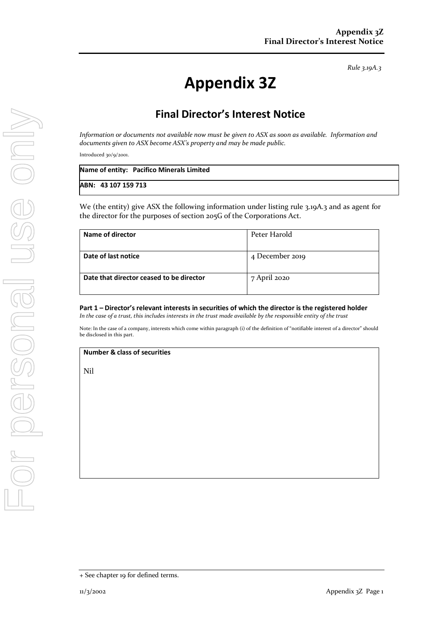*Rule 3.19A.3*

# **Appendix 3Z**

## **Final Director's Interest Notice**

*Information or documents not available now must be given to ASX as soon as available. Information and documents given to ASX become ASX's property and may be made public.*

Introduced 30/9/2001.

|                     | Name of entity: Pacifico Minerals Limited |
|---------------------|-------------------------------------------|
| ABN: 43 107 159 713 |                                           |

We (the entity) give ASX the following information under listing rule 3.19A.3 and as agent for the director for the purposes of section 205G of the Corporations Act.

| Name of director                         | Peter Harold    |
|------------------------------------------|-----------------|
| Date of last notice                      | 4 December 2019 |
| Date that director ceased to be director | 7 April 2020    |

**Part 1 – Director's relevant interests in securities of which the director is the registered holder**

*In the case of a trust, this includes interests in the trust made available by the responsible entity of the trust*

Note: In the case of a company, interests which come within paragraph (i) of the definition of "notifiable interest of a director" should be disclosed in this part.

#### **Number & class of securities**

Nil

<sup>+</sup> See chapter 19 for defined terms.